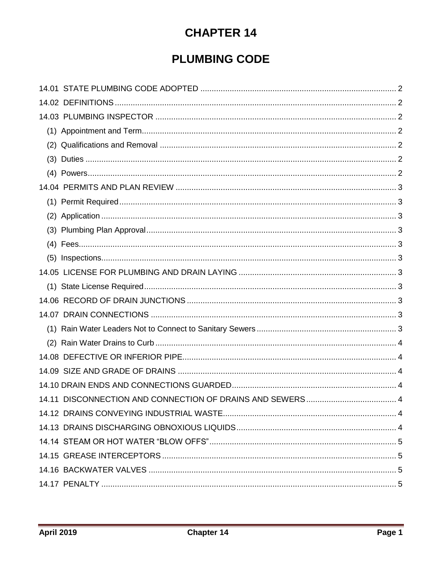# **CHAPTER 14**

# **PLUMBING CODE**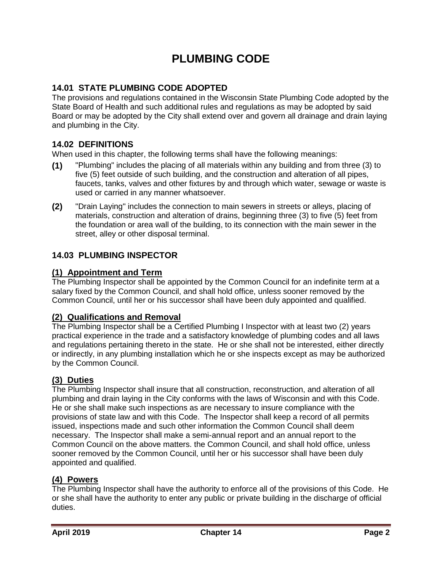# **PLUMBING CODE**

# <span id="page-1-0"></span>**14.01 STATE PLUMBING CODE ADOPTED**

The provisions and regulations contained in the Wisconsin State Plumbing Code adopted by the State Board of Health and such additional rules and regulations as may be adopted by said Board or may be adopted by the City shall extend over and govern all drainage and drain laying and plumbing in the City.

## <span id="page-1-1"></span>**14.02 DEFINITIONS**

When used in this chapter, the following terms shall have the following meanings:

- **(1)** "Plumbing" includes the placing of all materials within any building and from three (3) to five (5) feet outside of such building, and the construction and alteration of all pipes, faucets, tanks, valves and other fixtures by and through which water, sewage or waste is used or carried in any manner whatsoever.
- **(2)** "Drain Laying" includes the connection to main sewers in streets or alleys, placing of materials, construction and alteration of drains, beginning three (3) to five (5) feet from the foundation or area wall of the building, to its connection with the main sewer in the street, alley or other disposal terminal.

# <span id="page-1-2"></span>**14.03 PLUMBING INSPECTOR**

## <span id="page-1-3"></span>**(1) Appointment and Term**

The Plumbing Inspector shall be appointed by the Common Council for an indefinite term at a salary fixed by the Common Council, and shall hold office, unless sooner removed by the Common Council, until her or his successor shall have been duly appointed and qualified.

#### <span id="page-1-4"></span>**(2) Qualifications and Removal**

The Plumbing Inspector shall be a Certified Plumbing I Inspector with at least two (2) years practical experience in the trade and a satisfactory knowledge of plumbing codes and all laws and regulations pertaining thereto in the state. He or she shall not be interested, either directly or indirectly, in any plumbing installation which he or she inspects except as may be authorized by the Common Council.

# <span id="page-1-5"></span>**(3) Duties**

The Plumbing Inspector shall insure that all construction, reconstruction, and alteration of all plumbing and drain laying in the City conforms with the laws of Wisconsin and with this Code. He or she shall make such inspections as are necessary to insure compliance with the provisions of state law and with this Code. The Inspector shall keep a record of all permits issued, inspections made and such other information the Common Council shall deem necessary. The Inspector shall make a semi-annual report and an annual report to the Common Council on the above matters. the Common Council, and shall hold office, unless sooner removed by the Common Council, until her or his successor shall have been duly appointed and qualified.

# <span id="page-1-6"></span>**(4) Powers**

The Plumbing Inspector shall have the authority to enforce all of the provisions of this Code. He or she shall have the authority to enter any public or private building in the discharge of official duties.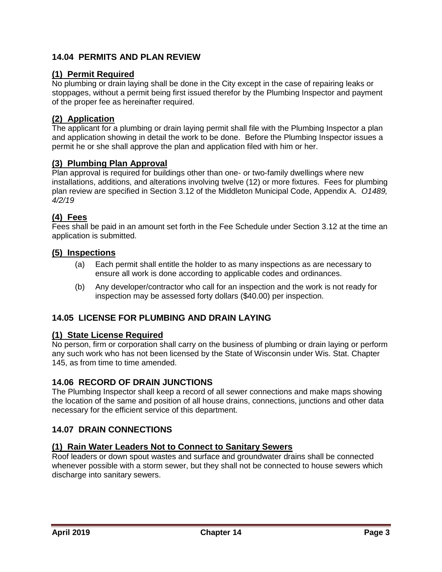# <span id="page-2-0"></span>**14.04 PERMITS AND PLAN REVIEW**

## <span id="page-2-1"></span>**(1) Permit Required**

No plumbing or drain laying shall be done in the City except in the case of repairing leaks or stoppages, without a permit being first issued therefor by the Plumbing Inspector and payment of the proper fee as hereinafter required.

#### <span id="page-2-2"></span>**(2) Application**

The applicant for a plumbing or drain laying permit shall file with the Plumbing Inspector a plan and application showing in detail the work to be done. Before the Plumbing Inspector issues a permit he or she shall approve the plan and application filed with him or her.

# <span id="page-2-3"></span>**(3) Plumbing Plan Approval**

Plan approval is required for buildings other than one- or two-family dwellings where new installations, additions, and alterations involving twelve (12) or more fixtures. Fees for plumbing plan review are specified in Section 3.12 of the Middleton Municipal Code, Appendix A. *O1489, 4/2/19*

# <span id="page-2-4"></span>**(4) Fees**

Fees shall be paid in an amount set forth in the Fee Schedule under Section 3.12 at the time an application is submitted.

#### <span id="page-2-5"></span>**(5) Inspections**

- (a) Each permit shall entitle the holder to as many inspections as are necessary to ensure all work is done according to applicable codes and ordinances.
- (b) Any developer/contractor who call for an inspection and the work is not ready for inspection may be assessed forty dollars (\$40.00) per inspection.

#### <span id="page-2-6"></span>**14.05 LICENSE FOR PLUMBING AND DRAIN LAYING**

#### <span id="page-2-7"></span>**(1) State License Required**

No person, firm or corporation shall carry on the business of plumbing or drain laying or perform any such work who has not been licensed by the State of Wisconsin under Wis. Stat. Chapter 145, as from time to time amended.

#### <span id="page-2-8"></span>**14.06 RECORD OF DRAIN JUNCTIONS**

The Plumbing Inspector shall keep a record of all sewer connections and make maps showing the location of the same and position of all house drains, connections, junctions and other data necessary for the efficient service of this department.

#### <span id="page-2-9"></span>**14.07 DRAIN CONNECTIONS**

#### <span id="page-2-10"></span>**(1) Rain Water Leaders Not to Connect to Sanitary Sewers**

Roof leaders or down spout wastes and surface and groundwater drains shall be connected whenever possible with a storm sewer, but they shall not be connected to house sewers which discharge into sanitary sewers.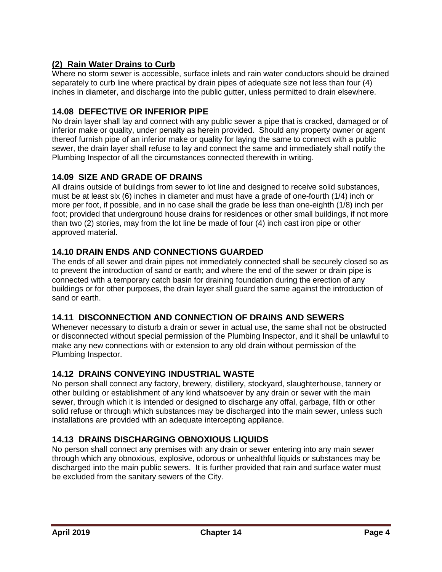# <span id="page-3-0"></span>**(2) Rain Water Drains to Curb**

Where no storm sewer is accessible, surface inlets and rain water conductors should be drained separately to curb line where practical by drain pipes of adequate size not less than four (4) inches in diameter, and discharge into the public gutter, unless permitted to drain elsewhere.

# <span id="page-3-1"></span>**14.08 DEFECTIVE OR INFERIOR PIPE**

No drain layer shall lay and connect with any public sewer a pipe that is cracked, damaged or of inferior make or quality, under penalty as herein provided. Should any property owner or agent thereof furnish pipe of an inferior make or quality for laying the same to connect with a public sewer, the drain layer shall refuse to lay and connect the same and immediately shall notify the Plumbing Inspector of all the circumstances connected therewith in writing.

# <span id="page-3-2"></span>**14.09 SIZE AND GRADE OF DRAINS**

All drains outside of buildings from sewer to lot line and designed to receive solid substances, must be at least six (6) inches in diameter and must have a grade of one-fourth (1/4) inch or more per foot, if possible, and in no case shall the grade be less than one-eighth (1/8) inch per foot; provided that underground house drains for residences or other small buildings, if not more than two (2) stories, may from the lot line be made of four (4) inch cast iron pipe or other approved material.

# <span id="page-3-3"></span>**14.10 DRAIN ENDS AND CONNECTIONS GUARDED**

The ends of all sewer and drain pipes not immediately connected shall be securely closed so as to prevent the introduction of sand or earth; and where the end of the sewer or drain pipe is connected with a temporary catch basin for draining foundation during the erection of any buildings or for other purposes, the drain layer shall guard the same against the introduction of sand or earth.

# <span id="page-3-4"></span>**14.11 DISCONNECTION AND CONNECTION OF DRAINS AND SEWERS**

Whenever necessary to disturb a drain or sewer in actual use, the same shall not be obstructed or disconnected without special permission of the Plumbing Inspector, and it shall be unlawful to make any new connections with or extension to any old drain without permission of the Plumbing Inspector.

# <span id="page-3-5"></span>**14.12 DRAINS CONVEYING INDUSTRIAL WASTE**

No person shall connect any factory, brewery, distillery, stockyard, slaughterhouse, tannery or other building or establishment of any kind whatsoever by any drain or sewer with the main sewer, through which it is intended or designed to discharge any offal, garbage, filth or other solid refuse or through which substances may be discharged into the main sewer, unless such installations are provided with an adequate intercepting appliance.

# <span id="page-3-6"></span>**14.13 DRAINS DISCHARGING OBNOXIOUS LIQUIDS**

No person shall connect any premises with any drain or sewer entering into any main sewer through which any obnoxious, explosive, odorous or unhealthful liquids or substances may be discharged into the main public sewers. It is further provided that rain and surface water must be excluded from the sanitary sewers of the City.